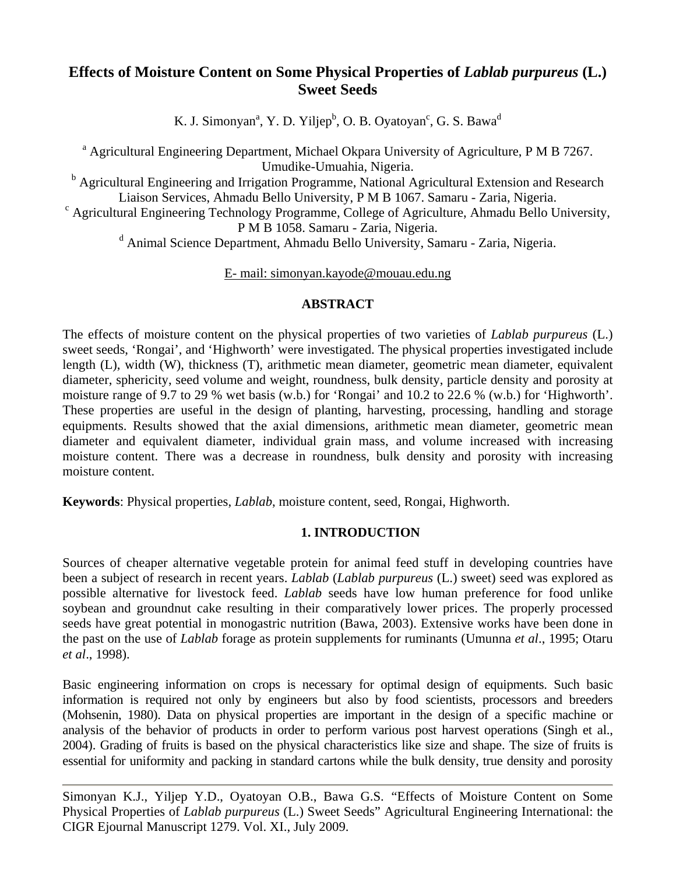# **Effects of Moisture Content on Some Physical Properties of** *Lablab purpureus* **(L.) Sweet Seeds**

K. J. Simonyan<sup>a</sup>, Y. D. Yiljep<sup>b</sup>, O. B. Oyatoyan<sup>c</sup>, G. S. Bawa<sup>d</sup>

<sup>a</sup> Agricultural Engineering Department, Michael Okpara University of Agriculture, P M B 7267. Umudike-Umuahia, Nigeria.

<sup>b</sup> Agricultural Engineering and Irrigation Programme, National Agricultural Extension and Research Liaison Services, Ahmadu Bello University, P M B 1067. Samaru - Zaria, Nigeria. c

 $\epsilon$  Agricultural Engineering Technology Programme, College of Agriculture, Ahmadu Bello University, P M B 1058. Samaru - Zaria, Nigeria.

<sup>d</sup> Animal Science Department, Ahmadu Bello University, Samaru - Zaria, Nigeria.

E- mail: simonyan.kayode@mouau.edu.ng

### **ABSTRACT**

The effects of moisture content on the physical properties of two varieties of *Lablab purpureus* (L.) sweet seeds, 'Rongai', and 'Highworth' were investigated. The physical properties investigated include length (L), width (W), thickness (T), arithmetic mean diameter, geometric mean diameter, equivalent diameter, sphericity, seed volume and weight, roundness, bulk density, particle density and porosity at moisture range of 9.7 to 29 % wet basis (w.b.) for 'Rongai' and 10.2 to 22.6 % (w.b.) for 'Highworth'. These properties are useful in the design of planting, harvesting, processing, handling and storage equipments. Results showed that the axial dimensions, arithmetic mean diameter, geometric mean diameter and equivalent diameter, individual grain mass, and volume increased with increasing moisture content. There was a decrease in roundness, bulk density and porosity with increasing moisture content.

**Keywords**: Physical properties, *Lablab*, moisture content, seed, Rongai, Highworth.

### **1. INTRODUCTION**

Sources of cheaper alternative vegetable protein for animal feed stuff in developing countries have been a subject of research in recent years. *Lablab* (*Lablab purpureus* (L.) sweet) seed was explored as possible alternative for livestock feed. *Lablab* seeds have low human preference for food unlike soybean and groundnut cake resulting in their comparatively lower prices. The properly processed seeds have great potential in monogastric nutrition (Bawa, 2003). Extensive works have been done in the past on the use of *Lablab* forage as protein supplements for ruminants (Umunna *et al*., 1995; Otaru *et al*., 1998).

Basic engineering information on crops is necessary for optimal design of equipments. Such basic information is required not only by engineers but also by food scientists, processors and breeders (Mohsenin, 1980). Data on physical properties are important in the design of a specific machine or analysis of the behavior of products in order to perform various post harvest operations (Singh et al., 2004). Grading of fruits is based on the physical characteristics like size and shape. The size of fruits is essential for uniformity and packing in standard cartons while the bulk density, true density and porosity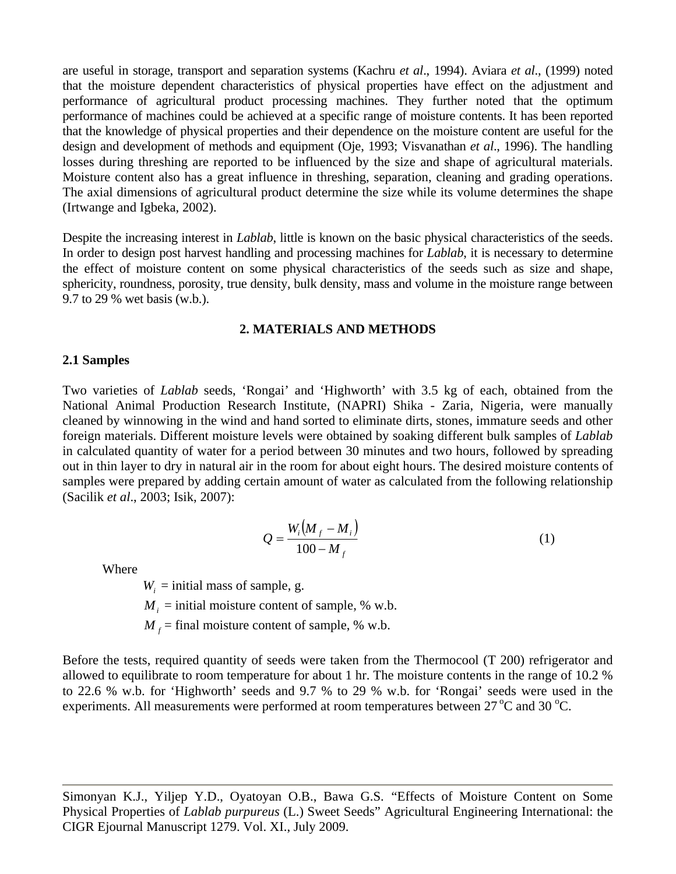are useful in storage, transport and separation systems (Kachru *et al*., 1994). Aviara *et al*., (1999) noted that the moisture dependent characteristics of physical properties have effect on the adjustment and performance of agricultural product processing machines. They further noted that the optimum performance of machines could be achieved at a specific range of moisture contents. It has been reported that the knowledge of physical properties and their dependence on the moisture content are useful for the design and development of methods and equipment (Oje, 1993; Visvanathan *et al*., 1996). The handling losses during threshing are reported to be influenced by the size and shape of agricultural materials. Moisture content also has a great influence in threshing, separation, cleaning and grading operations. The axial dimensions of agricultural product determine the size while its volume determines the shape (Irtwange and Igbeka, 2002).

Despite the increasing interest in *Lablab*, little is known on the basic physical characteristics of the seeds. In order to design post harvest handling and processing machines for *Lablab*, it is necessary to determine the effect of moisture content on some physical characteristics of the seeds such as size and shape, sphericity, roundness, porosity, true density, bulk density, mass and volume in the moisture range between 9.7 to 29 % wet basis (w.b.).

#### **2. MATERIALS AND METHODS**

#### **2.1 Samples**

Two varieties of *Lablab* seeds, 'Rongai' and 'Highworth' with 3.5 kg of each, obtained from the National Animal Production Research Institute, (NAPRI) Shika - Zaria, Nigeria, were manually cleaned by winnowing in the wind and hand sorted to eliminate dirts, stones, immature seeds and other foreign materials. Different moisture levels were obtained by soaking different bulk samples of *Lablab* in calculated quantity of water for a period between 30 minutes and two hours, followed by spreading out in thin layer to dry in natural air in the room for about eight hours. The desired moisture contents of samples were prepared by adding certain amount of water as calculated from the following relationship (Sacilik *et al*., 2003; Isik, 2007):

$$
Q = \frac{W_i (M_f - M_i)}{100 - M_f}
$$
 (1)

Where

 $W_i$  = initial mass of sample, g.

 $M_i$  = initial moisture content of sample, % w.b.

 $M_f$  = final moisture content of sample, % w.b.

Before the tests, required quantity of seeds were taken from the Thermocool (T 200) refrigerator and allowed to equilibrate to room temperature for about 1 hr. The moisture contents in the range of 10.2 % to 22.6 % w.b. for 'Highworth' seeds and 9.7 % to 29 % w.b. for 'Rongai' seeds were used in the experiments. All measurements were performed at room temperatures between  $27^{\circ}$ C and  $30^{\circ}$ C.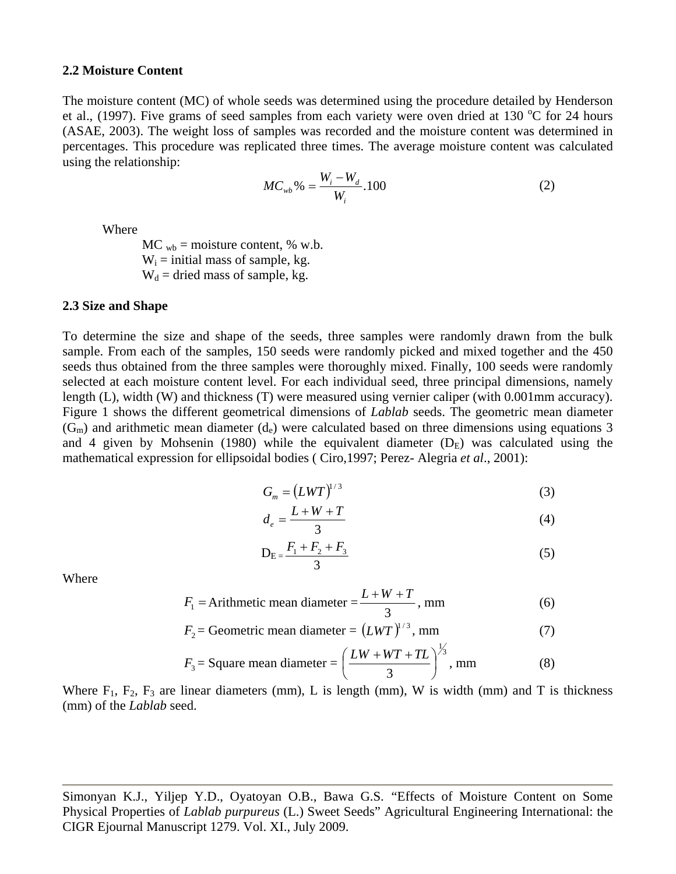#### **2.2 Moisture Content**

The moisture content (MC) of whole seeds was determined using the procedure detailed by Henderson et al., (1997). Five grams of seed samples from each variety were oven dried at 130  $^{\circ}$ C for 24 hours (ASAE, 2003). The weight loss of samples was recorded and the moisture content was determined in percentages. This procedure was replicated three times. The average moisture content was calculated using the relationship:

$$
MC_{wb}\% = \frac{W_i - W_d}{W_i} \cdot 100\tag{2}
$$

Where

 $MC<sub>wb</sub> = moisture content, % w.b.$  $W_i$  = initial mass of sample, kg.  $W_d$  = dried mass of sample, kg.

#### **2.3 Size and Shape**

To determine the size and shape of the seeds, three samples were randomly drawn from the bulk sample. From each of the samples, 150 seeds were randomly picked and mixed together and the 450 seeds thus obtained from the three samples were thoroughly mixed. Finally, 100 seeds were randomly selected at each moisture content level. For each individual seed, three principal dimensions, namely length (L), width (W) and thickness (T) were measured using vernier caliper (with 0.001mm accuracy). Figure 1 shows the different geometrical dimensions of *Lablab* seeds. The geometric mean diameter  $(G<sub>m</sub>)$  and arithmetic mean diameter  $(d<sub>e</sub>)$  were calculated based on three dimensions using equations 3 and 4 given by Mohsenin (1980) while the equivalent diameter  $(D<sub>E</sub>)$  was calculated using the mathematical expression for ellipsoidal bodies ( Ciro,1997; Perez- Alegria *et al*., 2001):

$$
G_m = (LWT)^{1/3} \tag{3}
$$

$$
d_e = \frac{L + W + T}{3} \tag{4}
$$

$$
D_E = \frac{F_1 + F_2 + F_3}{3} \tag{5}
$$

Where

$$
F_1 = \text{Arithmetic mean diameter} = \frac{L + W + T}{3}, \text{mm} \tag{6}
$$

$$
F_2 = \text{Geometric mean diameter} = (LWT)^{1/3}, \text{mm} \tag{7}
$$

$$
F_3 = \text{Square mean diameter} = \left(\frac{LW + WT + TL}{3}\right)^{1/3}, \text{ mm} \tag{8}
$$

Where  $F_1$ ,  $F_2$ ,  $F_3$  are linear diameters (mm), L is length (mm), W is width (mm) and T is thickness (mm) of the *Lablab* seed.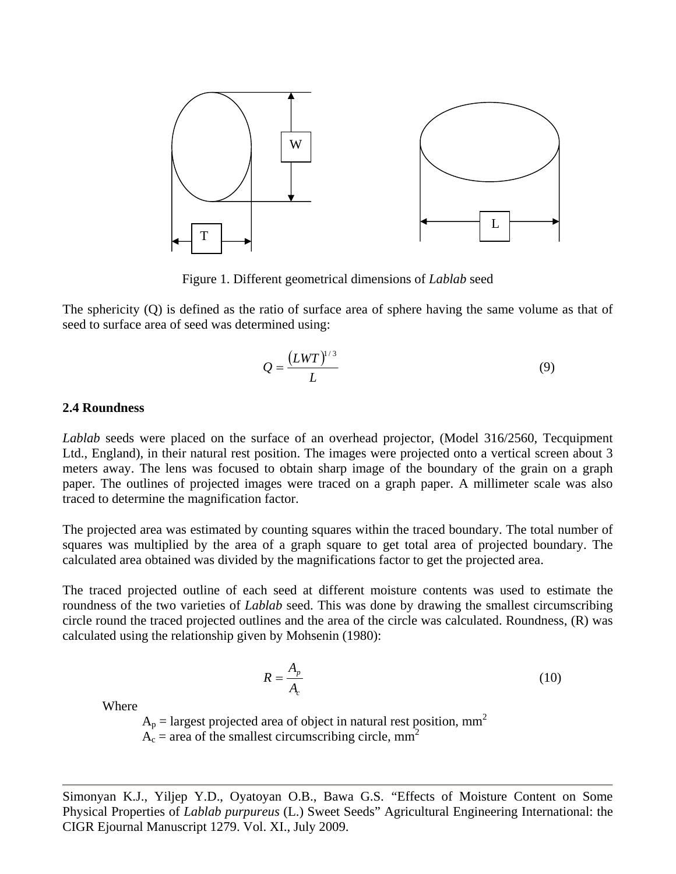

Figure 1. Different geometrical dimensions of *Lablab* seed

The sphericity (Q) is defined as the ratio of surface area of sphere having the same volume as that of seed to surface area of seed was determined using:

$$
Q = \frac{(LWT)^{1/3}}{L} \tag{9}
$$

### **2.4 Roundness**

*Lablab* seeds were placed on the surface of an overhead projector, (Model 316/2560, Tecquipment Ltd., England), in their natural rest position. The images were projected onto a vertical screen about 3 meters away. The lens was focused to obtain sharp image of the boundary of the grain on a graph paper. The outlines of projected images were traced on a graph paper. A millimeter scale was also traced to determine the magnification factor.

The projected area was estimated by counting squares within the traced boundary. The total number of squares was multiplied by the area of a graph square to get total area of projected boundary. The calculated area obtained was divided by the magnifications factor to get the projected area.

The traced projected outline of each seed at different moisture contents was used to estimate the roundness of the two varieties of *Lablab* seed. This was done by drawing the smallest circumscribing circle round the traced projected outlines and the area of the circle was calculated. Roundness, (R) was calculated using the relationship given by Mohsenin (1980):

$$
R = \frac{A_p}{A_c} \tag{10}
$$

Where

 $A_p$  = largest projected area of object in natural rest position, mm<sup>2</sup>  $A_c$  = area of the smallest circumscribing circle, mm<sup>2</sup>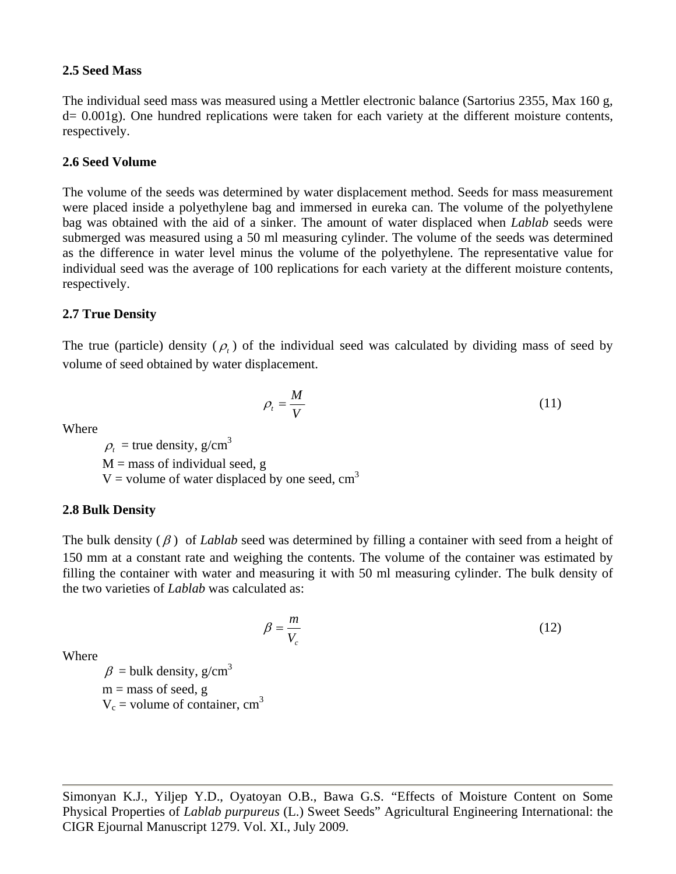### **2.5 Seed Mass**

The individual seed mass was measured using a Mettler electronic balance (Sartorius 2355, Max 160 g, d= 0.001g). One hundred replications were taken for each variety at the different moisture contents, respectively.

### **2.6 Seed Volume**

The volume of the seeds was determined by water displacement method. Seeds for mass measurement were placed inside a polyethylene bag and immersed in eureka can. The volume of the polyethylene bag was obtained with the aid of a sinker. The amount of water displaced when *Lablab* seeds were submerged was measured using a 50 ml measuring cylinder. The volume of the seeds was determined as the difference in water level minus the volume of the polyethylene. The representative value for individual seed was the average of 100 replications for each variety at the different moisture contents, respectively.

### **2.7 True Density**

The true (particle) density  $(\rho_t)$  of the individual seed was calculated by dividing mass of seed by volume of seed obtained by water displacement.

$$
\rho_t = \frac{M}{V} \tag{11}
$$

**Where** 

 $\rho_t$  = true density, g/cm<sup>3</sup>  $M =$  mass of individual seed, g V = volume of water displaced by one seed,  $cm<sup>3</sup>$ 

### **2.8 Bulk Density**

The bulk density ( β ) of *Lablab* seed was determined by filling a container with seed from a height of 150 mm at a constant rate and weighing the contents. The volume of the container was estimated by filling the container with water and measuring it with 50 ml measuring cylinder. The bulk density of the two varieties of *Lablab* was calculated as:

$$
\beta = \frac{m}{V_c} \tag{12}
$$

Where

 $\beta$  = bulk density, g/cm<sup>3</sup>  $m =$  mass of seed, g  $V_c$  = volume of container, cm<sup>3</sup>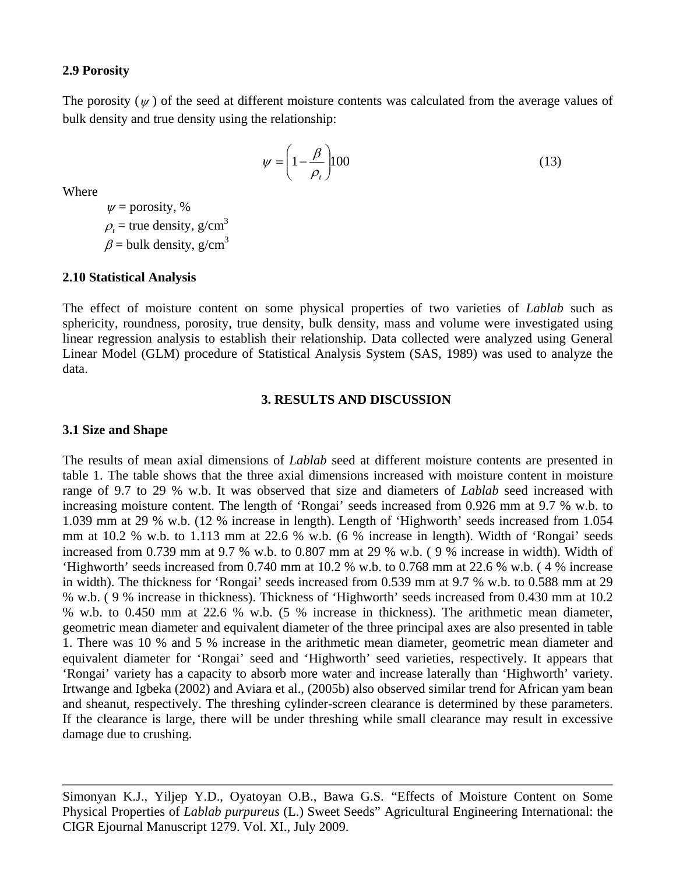### **2.9 Porosity**

The porosity  $(\psi)$  of the seed at different moisture contents was calculated from the average values of bulk density and true density using the relationship:

$$
\psi = \left(1 - \frac{\beta}{\rho_t}\right)100\tag{13}
$$

Where

 $\psi$  = porosity, %  $\rho_t$  = true density, g/cm<sup>3</sup>  $\beta$  = bulk density, g/cm<sup>3</sup>

### **2.10 Statistical Analysis**

The effect of moisture content on some physical properties of two varieties of *Lablab* such as sphericity, roundness, porosity, true density, bulk density, mass and volume were investigated using linear regression analysis to establish their relationship. Data collected were analyzed using General Linear Model (GLM) procedure of Statistical Analysis System (SAS, 1989) was used to analyze the data.

### **3. RESULTS AND DISCUSSION**

### **3.1 Size and Shape**

The results of mean axial dimensions of *Lablab* seed at different moisture contents are presented in table 1. The table shows that the three axial dimensions increased with moisture content in moisture range of 9.7 to 29 % w.b. It was observed that size and diameters of *Lablab* seed increased with increasing moisture content. The length of 'Rongai' seeds increased from 0.926 mm at 9.7 % w.b. to 1.039 mm at 29 % w.b. (12 % increase in length). Length of 'Highworth' seeds increased from 1.054 mm at 10.2 % w.b. to 1.113 mm at 22.6 % w.b. (6 % increase in length). Width of 'Rongai' seeds increased from 0.739 mm at 9.7 % w.b. to 0.807 mm at 29 % w.b. ( 9 % increase in width). Width of 'Highworth' seeds increased from 0.740 mm at 10.2 % w.b. to 0.768 mm at 22.6 % w.b. ( 4 % increase in width). The thickness for 'Rongai' seeds increased from 0.539 mm at 9.7 % w.b. to 0.588 mm at 29 % w.b. ( 9 % increase in thickness). Thickness of 'Highworth' seeds increased from 0.430 mm at 10.2 % w.b. to 0.450 mm at 22.6 % w.b. (5 % increase in thickness). The arithmetic mean diameter, geometric mean diameter and equivalent diameter of the three principal axes are also presented in table 1. There was 10 % and 5 % increase in the arithmetic mean diameter, geometric mean diameter and equivalent diameter for 'Rongai' seed and 'Highworth' seed varieties, respectively. It appears that 'Rongai' variety has a capacity to absorb more water and increase laterally than 'Highworth' variety. Irtwange and Igbeka (2002) and Aviara et al., (2005b) also observed similar trend for African yam bean and sheanut, respectively. The threshing cylinder-screen clearance is determined by these parameters. If the clearance is large, there will be under threshing while small clearance may result in excessive damage due to crushing.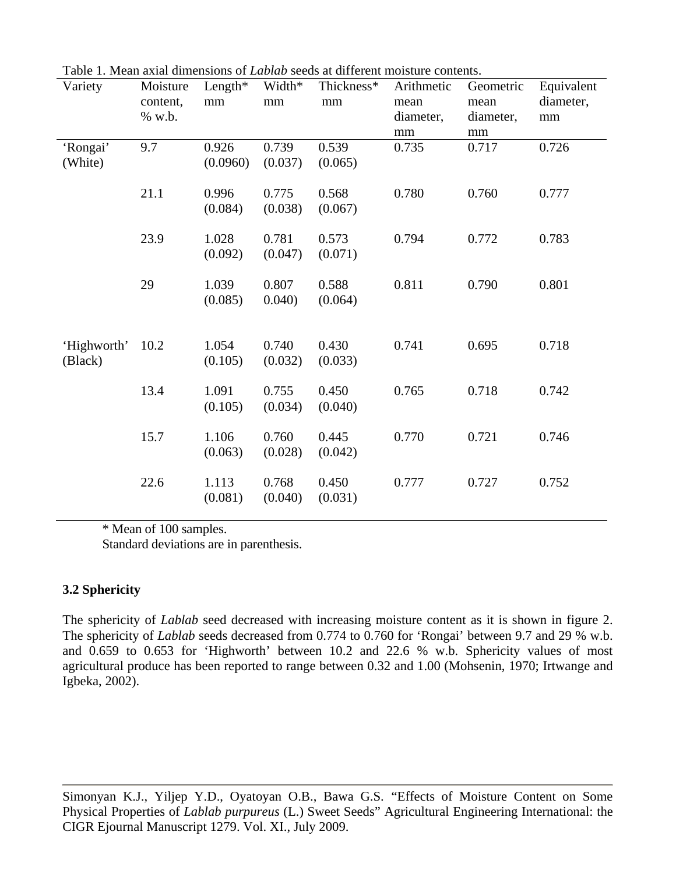| Variety                | Moisture<br>content,<br>% w.b. | Length $*$<br>$\rm mm$ | Width*<br>$\rm mm$ | Thickness*<br>mm | Arithmetic<br>mean<br>diameter,<br>mm | Geometric<br>mean<br>diameter,<br>mm | Equivalent<br>diameter,<br>mm |
|------------------------|--------------------------------|------------------------|--------------------|------------------|---------------------------------------|--------------------------------------|-------------------------------|
| 'Rongai'<br>(White)    | 9.7                            | 0.926<br>(0.0960)      | 0.739<br>(0.037)   | 0.539<br>(0.065) | 0.735                                 | 0.717                                | 0.726                         |
|                        | 21.1                           | 0.996<br>(0.084)       | 0.775<br>(0.038)   | 0.568<br>(0.067) | 0.780                                 | 0.760                                | 0.777                         |
|                        | 23.9                           | 1.028<br>(0.092)       | 0.781<br>(0.047)   | 0.573<br>(0.071) | 0.794                                 | 0.772                                | 0.783                         |
|                        | 29                             | 1.039<br>(0.085)       | 0.807<br>0.040)    | 0.588<br>(0.064) | 0.811                                 | 0.790                                | 0.801                         |
| 'Highworth'<br>(Black) | 10.2                           | 1.054<br>(0.105)       | 0.740<br>(0.032)   | 0.430<br>(0.033) | 0.741                                 | 0.695                                | 0.718                         |
|                        | 13.4                           | 1.091<br>(0.105)       | 0.755<br>(0.034)   | 0.450<br>(0.040) | 0.765                                 | 0.718                                | 0.742                         |
|                        | 15.7                           | 1.106<br>(0.063)       | 0.760<br>(0.028)   | 0.445<br>(0.042) | 0.770                                 | 0.721                                | 0.746                         |
|                        | 22.6                           | 1.113<br>(0.081)       | 0.768<br>(0.040)   | 0.450<br>(0.031) | 0.777                                 | 0.727                                | 0.752                         |

Table 1. Mean axial dimensions of *Lablab* seeds at different moisture contents.

\* Mean of 100 samples.

Standard deviations are in parenthesis.

## **3.2 Sphericity**

The sphericity of *Lablab* seed decreased with increasing moisture content as it is shown in figure 2. The sphericity of *Lablab* seeds decreased from 0.774 to 0.760 for 'Rongai' between 9.7 and 29 % w.b. and 0.659 to 0.653 for 'Highworth' between 10.2 and 22.6 % w.b. Sphericity values of most agricultural produce has been reported to range between 0.32 and 1.00 (Mohsenin, 1970; Irtwange and Igbeka, 2002).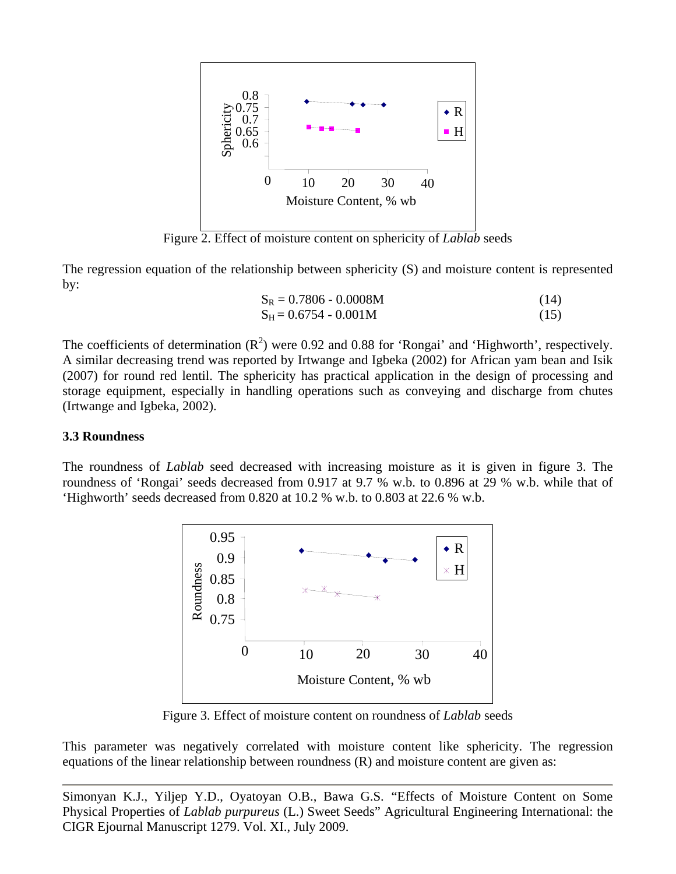

Figure 2. Effect of moisture content on sphericity of *Lablab* seeds

The regression equation of the relationship between sphericity (S) and moisture content is represented by:

$$
S_R = 0.7806 - 0.0008M
$$
\n
$$
S_H = 0.6754 - 0.001M
$$
\n(14)

The coefficients of determination  $(R^2)$  were 0.92 and 0.88 for 'Rongai' and 'Highworth', respectively. A similar decreasing trend was reported by Irtwange and Igbeka (2002) for African yam bean and Isik (2007) for round red lentil. The sphericity has practical application in the design of processing and storage equipment, especially in handling operations such as conveying and discharge from chutes (Irtwange and Igbeka, 2002).

#### **3.3 Roundness**

The roundness of *Lablab* seed decreased with increasing moisture as it is given in figure 3. The roundness of 'Rongai' seeds decreased from 0.917 at 9.7 % w.b. to 0.896 at 29 % w.b. while that of 'Highworth' seeds decreased from 0.820 at 10.2 % w.b. to 0.803 at 22.6 % w.b.



Figure 3. Effect of moisture content on roundness of *Lablab* seeds

This parameter was negatively correlated with moisture content like sphericity. The regression equations of the linear relationship between roundness (R) and moisture content are given as: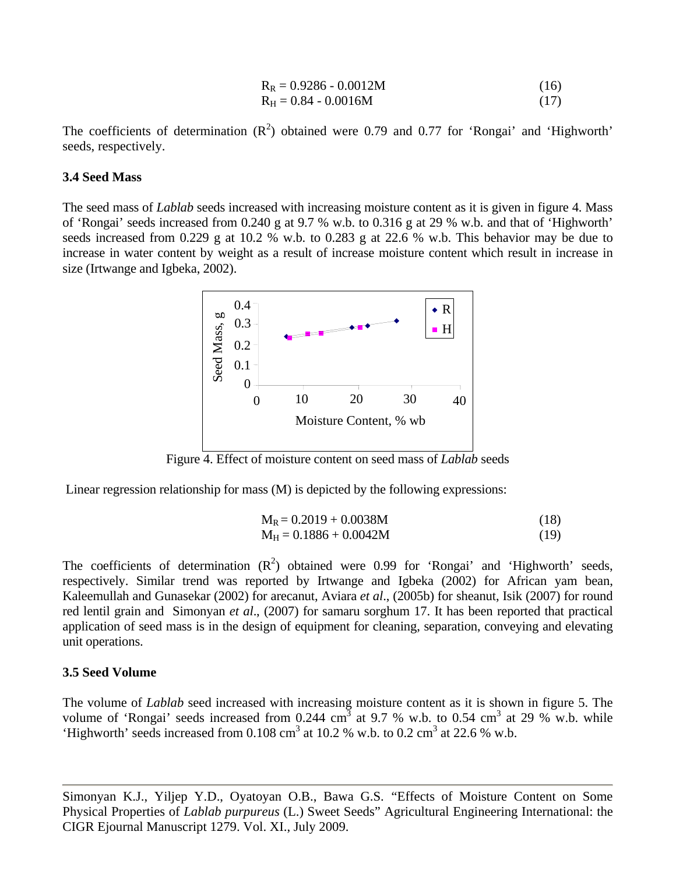$$
R_R = 0.9286 - 0.0012M
$$
  
\n
$$
R_H = 0.84 - 0.0016M
$$
 (16)

The coefficients of determination  $(R^2)$  obtained were 0.79 and 0.77 for 'Rongai' and 'Highworth' seeds, respectively.

#### **3.4 Seed Mass**

The seed mass of *Lablab* seeds increased with increasing moisture content as it is given in figure 4. Mass of 'Rongai' seeds increased from 0.240 g at 9.7 % w.b. to 0.316 g at 29 % w.b. and that of 'Highworth' seeds increased from 0.229 g at 10.2 % w.b. to 0.283 g at 22.6 % w.b. This behavior may be due to increase in water content by weight as a result of increase moisture content which result in increase in size (Irtwange and Igbeka, 2002).



Figure 4. Effect of moisture content on seed mass of *Lablab* seeds

Linear regression relationship for mass (M) is depicted by the following expressions:

$$
M_R = 0.2019 + 0.0038M
$$
 (18)

$$
M_H = 0.1886 + 0.0042M
$$
 (19)

The coefficients of determination  $(R^2)$  obtained were 0.99 for 'Rongai' and 'Highworth' seeds, respectively. Similar trend was reported by Irtwange and Igbeka (2002) for African yam bean, Kaleemullah and Gunasekar (2002) for arecanut, Aviara *et al*., (2005b) for sheanut, Isik (2007) for round red lentil grain and Simonyan *et al*., (2007) for samaru sorghum 17. It has been reported that practical application of seed mass is in the design of equipment for cleaning, separation, conveying and elevating unit operations.

#### **3.5 Seed Volume**

The volume of *Lablab* seed increased with increasing moisture content as it is shown in figure 5. The volume of 'Rongai' seeds increased from 0.244 cm<sup>3</sup> at 9.7 % w.b. to 0.54 cm<sup>3</sup> at 29 % w.b. while 'Highworth' seeds increased from  $0.108 \text{ cm}^3$  at  $10.2 \text{ %}$  w.b. to  $0.2 \text{ cm}^3$  at  $22.6 \text{ %}$  w.b.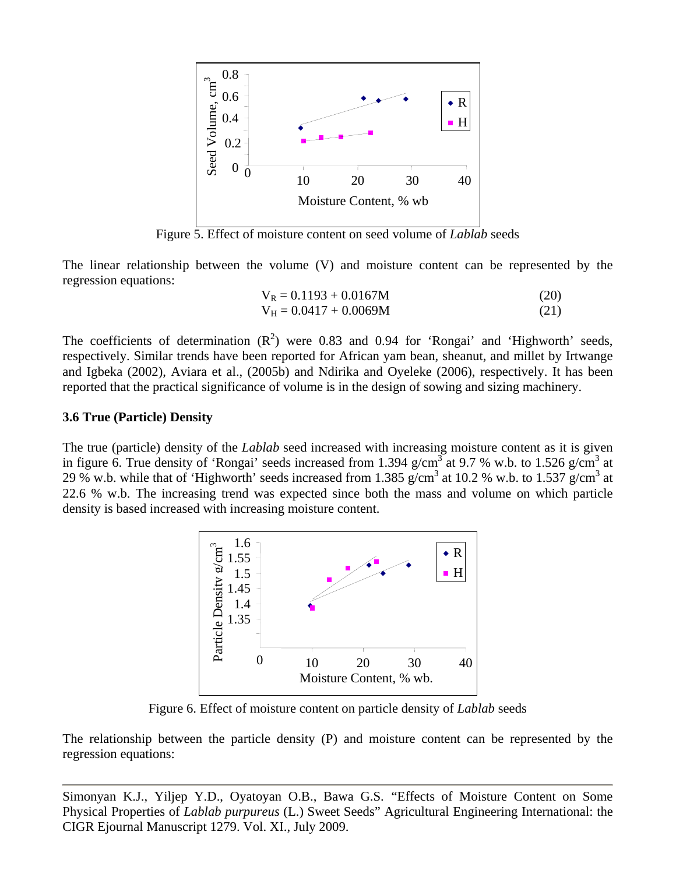

Figure 5. Effect of moisture content on seed volume of *Lablab* seeds

The linear relationship between the volume (V) and moisture content can be represented by the regression equations:

$$
V_R = 0.1193 + 0.0167M
$$
  
\n
$$
V_H = 0.0417 + 0.0069M
$$
\n(20)

The coefficients of determination  $(R^2)$  were 0.83 and 0.94 for 'Rongai' and 'Highworth' seeds, respectively. Similar trends have been reported for African yam bean, sheanut, and millet by Irtwange and Igbeka (2002), Aviara et al., (2005b) and Ndirika and Oyeleke (2006), respectively. It has been reported that the practical significance of volume is in the design of sowing and sizing machinery.

### **3.6 True (Particle) Density**

The true (particle) density of the *Lablab* seed increased with increasing moisture content as it is given in figure 6. True density of 'Rongai' seeds increased from 1.394 g/cm<sup>3</sup> at 9.7 % w.b. to 1.526 g/cm<sup>3</sup> at 29 % w.b. while that of 'Highworth' seeds increased from 1.385  $g/cm^3$  at 10.2 % w.b. to 1.537  $g/cm^3$  at 22.6 % w.b. The increasing trend was expected since both the mass and volume on which particle density is based increased with increasing moisture content.



Figure 6. Effect of moisture content on particle density of *Lablab* seeds

The relationship between the particle density (P) and moisture content can be represented by the regression equations: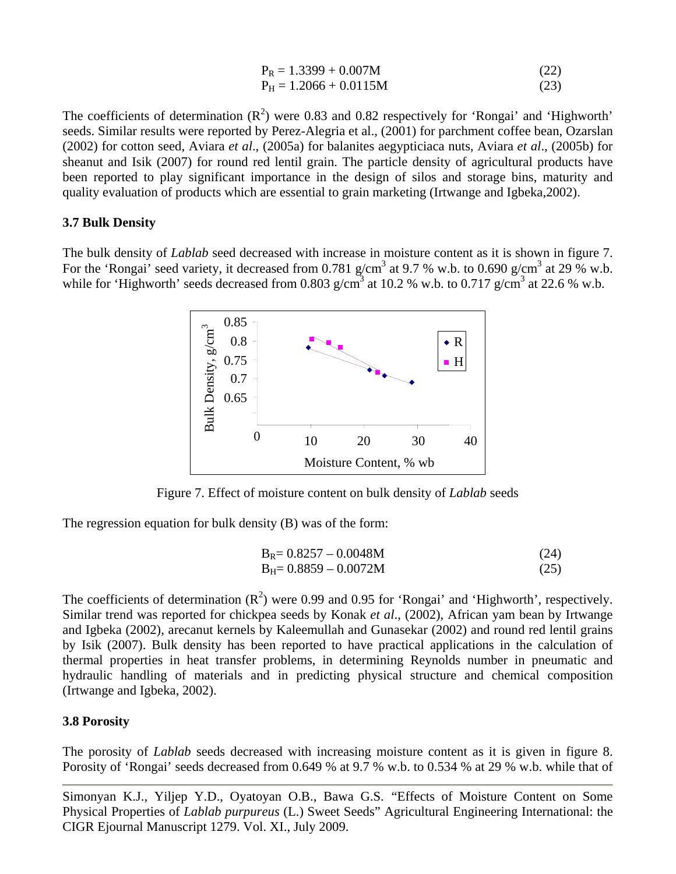$$
P_R = 1.3399 + 0.007M
$$
\n
$$
P_H = 1.2066 + 0.0115M
$$
\n(22)\n(23)

The coefficients of determination  $(R^2)$  were 0.83 and 0.82 respectively for 'Rongai' and 'Highworth' seeds. Similar results were reported by Perez-Alegria et al., (2001) for parchment coffee bean, Ozarslan (2002) for cotton seed, Aviara *et al*., (2005a) for balanites aegypticiaca nuts, Aviara *et al*., (2005b) for sheanut and Isik (2007) for round red lentil grain. The particle density of agricultural products have been reported to play significant importance in the design of silos and storage bins, maturity and quality evaluation of products which are essential to grain marketing (Irtwange and Igbeka,2002).

### **3.7 Bulk Density**

The bulk density of *Lablab* seed decreased with increase in moisture content as it is shown in figure 7. For the 'Rongai' seed variety, it decreased from 0.781 g/cm<sup>3</sup> at 9.7 % w.b. to 0.690 g/cm<sup>3</sup> at 29 % w.b. while for 'Highworth' seeds decreased from 0.803  $g/cm^3$  at 10.2 % w.b. to 0.717  $g/cm^3$  at 22.6 % w.b.



Figure 7. Effect of moisture content on bulk density of *Lablab* seeds

The regression equation for bulk density (B) was of the form:

$$
B_R = 0.8257 - 0.0048M
$$
\n
$$
B_H = 0.8859 - 0.0072M
$$
\n(24)\n(25)

The coefficients of determination  $(R^2)$  were 0.99 and 0.95 for 'Rongai' and 'Highworth', respectively. Similar trend was reported for chickpea seeds by Konak *et al*., (2002), African yam bean by Irtwange and Igbeka (2002), arecanut kernels by Kaleemullah and Gunasekar (2002) and round red lentil grains by Isik (2007). Bulk density has been reported to have practical applications in the calculation of thermal properties in heat transfer problems, in determining Reynolds number in pneumatic and hydraulic handling of materials and in predicting physical structure and chemical composition (Irtwange and Igbeka, 2002).

#### **3.8 Porosity**

The porosity of *Lablab* seeds decreased with increasing moisture content as it is given in figure 8. Porosity of 'Rongai' seeds decreased from 0.649 % at 9.7 % w.b. to 0.534 % at 29 % w.b. while that of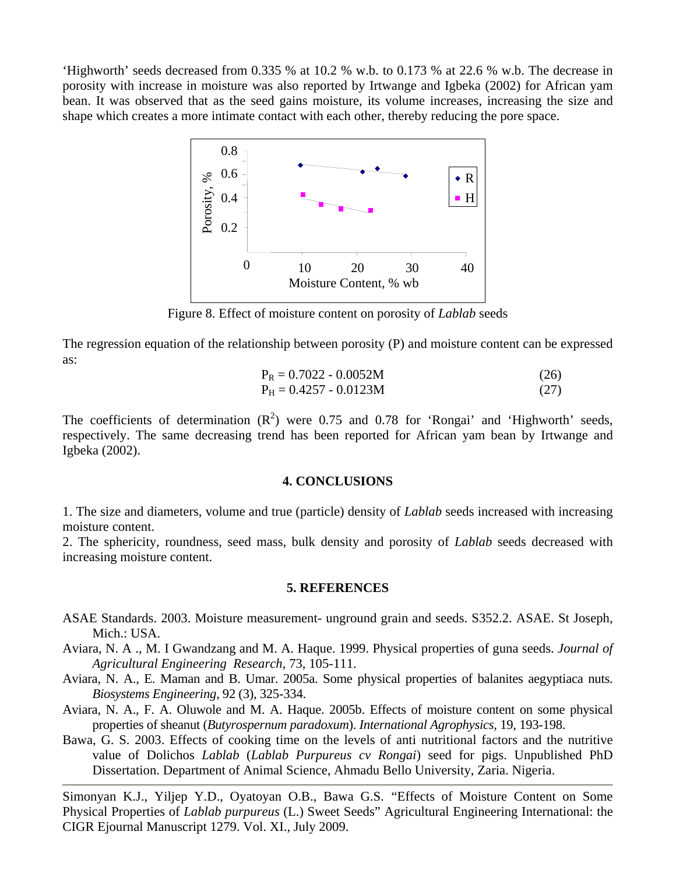'Highworth' seeds decreased from 0.335 % at 10.2 % w.b. to 0.173 % at 22.6 % w.b. The decrease in porosity with increase in moisture was also reported by Irtwange and Igbeka (2002) for African yam bean. It was observed that as the seed gains moisture, its volume increases, increasing the size and shape which creates a more intimate contact with each other, thereby reducing the pore space.



Figure 8. Effect of moisture content on porosity of *Lablab* seeds

The regression equation of the relationship between porosity (P) and moisture content can be expressed as:

$$
P_R = 0.7022 - 0.0052M
$$
\n
$$
P_H = 0.4257 - 0.0123M
$$
\n(26)

The coefficients of determination  $(R^2)$  were 0.75 and 0.78 for 'Rongai' and 'Highworth' seeds, respectively. The same decreasing trend has been reported for African yam bean by Irtwange and Igbeka (2002).

#### **4. CONCLUSIONS**

1. The size and diameters, volume and true (particle) density of *Lablab* seeds increased with increasing moisture content.

2. The sphericity, roundness, seed mass, bulk density and porosity of *Lablab* seeds decreased with increasing moisture content.

#### **5. REFERENCES**

- ASAE Standards. 2003. Moisture measurement- unground grain and seeds. S352.2. ASAE. St Joseph, Mich.: USA.
- Aviara, N. A ., M. I Gwandzang and M. A. Haque. 1999. Physical properties of guna seeds. *Journal of Agricultural Engineering Research,* 73, 105-111.
- Aviara, N. A., E. Maman and B. Umar. 2005a. Some physical properties of balanites aegyptiaca nuts. *Biosystems Engineering*, 92 (3), 325-334.
- Aviara, N. A., F. A. Oluwole and M. A. Haque. 2005b. Effects of moisture content on some physical properties of sheanut (*Butyrospernum paradoxum*). *International Agrophysics,* 19, 193-198.
- Bawa, G. S. 2003. Effects of cooking time on the levels of anti nutritional factors and the nutritive value of Dolichos *Lablab* (*Lablab Purpureus cv Rongai*) seed for pigs. Unpublished PhD Dissertation. Department of Animal Science, Ahmadu Bello University, Zaria. Nigeria.